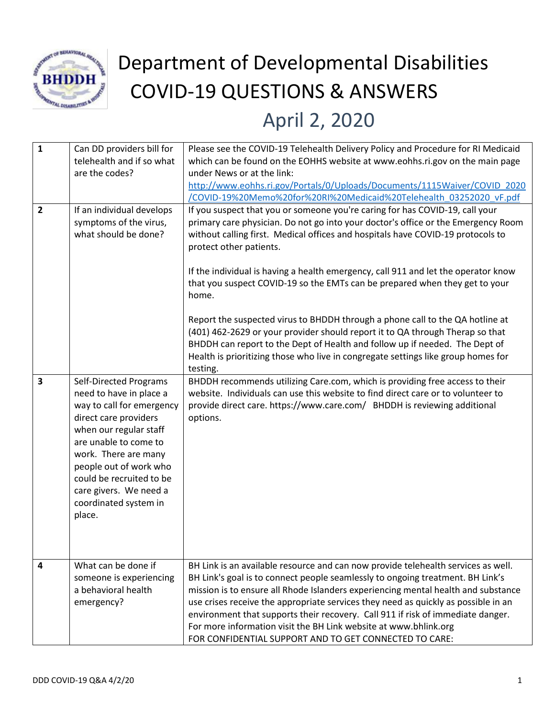

## Department of Developmental Disabilities COVID-19 QUESTIONS & ANSWERS April 2, 2020

| $\mathbf{1}$<br>$\overline{2}$ | Can DD providers bill for<br>telehealth and if so what<br>are the codes?<br>If an individual develops                                                                                                                                                                                                        | Please see the COVID-19 Telehealth Delivery Policy and Procedure for RI Medicaid<br>which can be found on the EOHHS website at www.eohhs.ri.gov on the main page<br>under News or at the link:<br>http://www.eohhs.ri.gov/Portals/0/Uploads/Documents/1115Waiver/COVID 2020<br>/COVID-19%20Memo%20for%20RI%20Medicaid%20Telehealth 03252020 vF.pdf<br>If you suspect that you or someone you're caring for has COVID-19, call your                                                                                                                                                                                                                                                                                              |
|--------------------------------|--------------------------------------------------------------------------------------------------------------------------------------------------------------------------------------------------------------------------------------------------------------------------------------------------------------|---------------------------------------------------------------------------------------------------------------------------------------------------------------------------------------------------------------------------------------------------------------------------------------------------------------------------------------------------------------------------------------------------------------------------------------------------------------------------------------------------------------------------------------------------------------------------------------------------------------------------------------------------------------------------------------------------------------------------------|
|                                | symptoms of the virus,<br>what should be done?                                                                                                                                                                                                                                                               | primary care physician. Do not go into your doctor's office or the Emergency Room<br>without calling first. Medical offices and hospitals have COVID-19 protocols to<br>protect other patients.<br>If the individual is having a health emergency, call 911 and let the operator know<br>that you suspect COVID-19 so the EMTs can be prepared when they get to your<br>home.<br>Report the suspected virus to BHDDH through a phone call to the QA hotline at<br>(401) 462-2629 or your provider should report it to QA through Therap so that<br>BHDDH can report to the Dept of Health and follow up if needed. The Dept of<br>Health is prioritizing those who live in congregate settings like group homes for<br>testing. |
| $\overline{\mathbf{3}}$        | <b>Self-Directed Programs</b><br>need to have in place a<br>way to call for emergency<br>direct care providers<br>when our regular staff<br>are unable to come to<br>work. There are many<br>people out of work who<br>could be recruited to be<br>care givers. We need a<br>coordinated system in<br>place. | BHDDH recommends utilizing Care.com, which is providing free access to their<br>website. Individuals can use this website to find direct care or to volunteer to<br>provide direct care. https://www.care.com/ BHDDH is reviewing additional<br>options.                                                                                                                                                                                                                                                                                                                                                                                                                                                                        |
| $\overline{a}$                 | What can be done if<br>someone is experiencing<br>a behavioral health<br>emergency?                                                                                                                                                                                                                          | BH Link is an available resource and can now provide telehealth services as well.<br>BH Link's goal is to connect people seamlessly to ongoing treatment. BH Link's<br>mission is to ensure all Rhode Islanders experiencing mental health and substance<br>use crises receive the appropriate services they need as quickly as possible in an<br>environment that supports their recovery. Call 911 if risk of immediate danger.<br>For more information visit the BH Link website at www.bhlink.org<br>FOR CONFIDENTIAL SUPPORT AND TO GET CONNECTED TO CARE:                                                                                                                                                                 |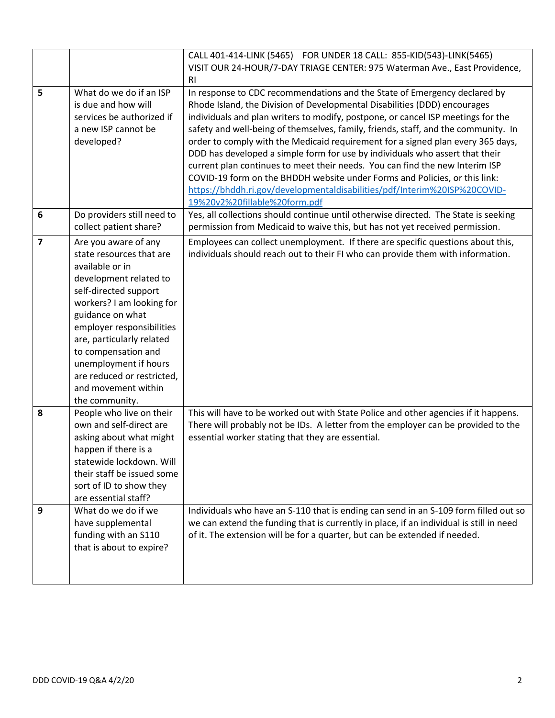|                  |                                                                                                                                                                                                                                                                                                                                                          | CALL 401-414-LINK (5465) FOR UNDER 18 CALL: 855-KID(543)-LINK(5465)                                                                                                                                                                                                                                                                                                                                                                                                                                                                                                                                                                                                                                                                                                             |
|------------------|----------------------------------------------------------------------------------------------------------------------------------------------------------------------------------------------------------------------------------------------------------------------------------------------------------------------------------------------------------|---------------------------------------------------------------------------------------------------------------------------------------------------------------------------------------------------------------------------------------------------------------------------------------------------------------------------------------------------------------------------------------------------------------------------------------------------------------------------------------------------------------------------------------------------------------------------------------------------------------------------------------------------------------------------------------------------------------------------------------------------------------------------------|
|                  |                                                                                                                                                                                                                                                                                                                                                          | VISIT OUR 24-HOUR/7-DAY TRIAGE CENTER: 975 Waterman Ave., East Providence,                                                                                                                                                                                                                                                                                                                                                                                                                                                                                                                                                                                                                                                                                                      |
|                  |                                                                                                                                                                                                                                                                                                                                                          | <b>RI</b>                                                                                                                                                                                                                                                                                                                                                                                                                                                                                                                                                                                                                                                                                                                                                                       |
| 5                | What do we do if an ISP<br>is due and how will<br>services be authorized if<br>a new ISP cannot be<br>developed?                                                                                                                                                                                                                                         | In response to CDC recommendations and the State of Emergency declared by<br>Rhode Island, the Division of Developmental Disabilities (DDD) encourages<br>individuals and plan writers to modify, postpone, or cancel ISP meetings for the<br>safety and well-being of themselves, family, friends, staff, and the community. In<br>order to comply with the Medicaid requirement for a signed plan every 365 days,<br>DDD has developed a simple form for use by individuals who assert that their<br>current plan continues to meet their needs. You can find the new Interim ISP<br>COVID-19 form on the BHDDH website under Forms and Policies, or this link:<br>https://bhddh.ri.gov/developmentaldisabilities/pdf/Interim%20ISP%20COVID-<br>19%20v2%20fillable%20form.pdf |
| $\boldsymbol{6}$ | Do providers still need to<br>collect patient share?                                                                                                                                                                                                                                                                                                     | Yes, all collections should continue until otherwise directed. The State is seeking<br>permission from Medicaid to waive this, but has not yet received permission.                                                                                                                                                                                                                                                                                                                                                                                                                                                                                                                                                                                                             |
| $\overline{7}$   | Are you aware of any<br>state resources that are<br>available or in<br>development related to<br>self-directed support<br>workers? I am looking for<br>guidance on what<br>employer responsibilities<br>are, particularly related<br>to compensation and<br>unemployment if hours<br>are reduced or restricted,<br>and movement within<br>the community. | Employees can collect unemployment. If there are specific questions about this,<br>individuals should reach out to their FI who can provide them with information.                                                                                                                                                                                                                                                                                                                                                                                                                                                                                                                                                                                                              |
| 8                | People who live on their<br>own and self-direct are<br>asking about what might<br>happen if there is a<br>statewide lockdown. Will<br>their staff be issued some<br>sort of ID to show they<br>are essential staff?                                                                                                                                      | This will have to be worked out with State Police and other agencies if it happens.<br>There will probably not be IDs. A letter from the employer can be provided to the<br>essential worker stating that they are essential.                                                                                                                                                                                                                                                                                                                                                                                                                                                                                                                                                   |
| $\boldsymbol{9}$ | What do we do if we<br>have supplemental<br>funding with an S110<br>that is about to expire?                                                                                                                                                                                                                                                             | Individuals who have an S-110 that is ending can send in an S-109 form filled out so<br>we can extend the funding that is currently in place, if an individual is still in need<br>of it. The extension will be for a quarter, but can be extended if needed.                                                                                                                                                                                                                                                                                                                                                                                                                                                                                                                   |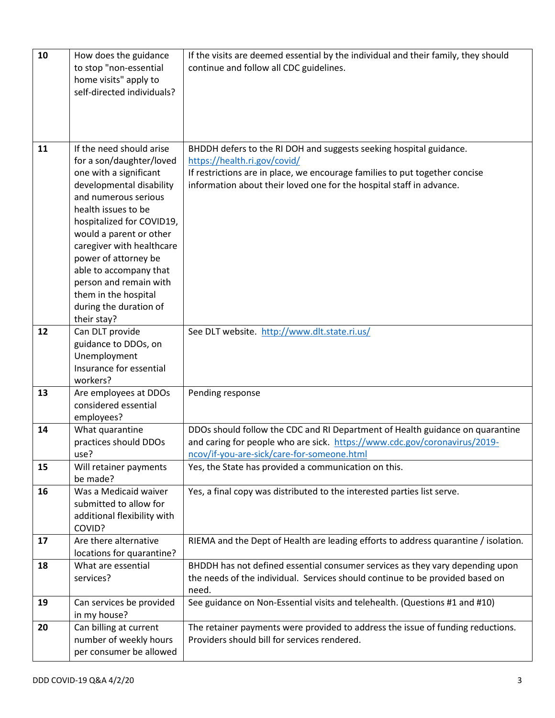| 10 | How does the guidance<br>to stop "non-essential    | If the visits are deemed essential by the individual and their family, they should<br>continue and follow all CDC guidelines.   |
|----|----------------------------------------------------|---------------------------------------------------------------------------------------------------------------------------------|
|    | home visits" apply to                              |                                                                                                                                 |
|    | self-directed individuals?                         |                                                                                                                                 |
|    |                                                    |                                                                                                                                 |
|    |                                                    |                                                                                                                                 |
| 11 | If the need should arise                           | BHDDH defers to the RI DOH and suggests seeking hospital guidance.                                                              |
|    | for a son/daughter/loved                           | https://health.ri.gov/covid/                                                                                                    |
|    | one with a significant                             | If restrictions are in place, we encourage families to put together concise                                                     |
|    | developmental disability<br>and numerous serious   | information about their loved one for the hospital staff in advance.                                                            |
|    | health issues to be                                |                                                                                                                                 |
|    | hospitalized for COVID19,                          |                                                                                                                                 |
|    | would a parent or other                            |                                                                                                                                 |
|    | caregiver with healthcare                          |                                                                                                                                 |
|    | power of attorney be<br>able to accompany that     |                                                                                                                                 |
|    | person and remain with                             |                                                                                                                                 |
|    | them in the hospital                               |                                                                                                                                 |
|    | during the duration of<br>their stay?              |                                                                                                                                 |
| 12 | Can DLT provide                                    | See DLT website. http://www.dlt.state.ri.us/                                                                                    |
|    | guidance to DDOs, on                               |                                                                                                                                 |
|    | Unemployment                                       |                                                                                                                                 |
|    | Insurance for essential<br>workers?                |                                                                                                                                 |
| 13 | Are employees at DDOs                              | Pending response                                                                                                                |
|    | considered essential                               |                                                                                                                                 |
| 14 | employees?<br>What quarantine                      | DDOs should follow the CDC and RI Department of Health guidance on quarantine                                                   |
|    | practices should DDOs                              | and caring for people who are sick. https://www.cdc.gov/coronavirus/2019-                                                       |
|    | use?                                               | ncov/if-you-are-sick/care-for-someone.html                                                                                      |
| 15 | Will retainer payments                             | Yes, the State has provided a communication on this.                                                                            |
| 16 | be made?<br>Was a Medicaid waiver                  | Yes, a final copy was distributed to the interested parties list serve.                                                         |
|    | submitted to allow for                             |                                                                                                                                 |
|    | additional flexibility with                        |                                                                                                                                 |
|    | COVID?                                             |                                                                                                                                 |
| 17 | Are there alternative<br>locations for quarantine? | RIEMA and the Dept of Health are leading efforts to address quarantine / isolation.                                             |
| 18 | What are essential                                 | BHDDH has not defined essential consumer services as they vary depending upon                                                   |
|    | services?                                          | the needs of the individual. Services should continue to be provided based on<br>need.                                          |
| 19 | Can services be provided                           | See guidance on Non-Essential visits and telehealth. (Questions #1 and #10)                                                     |
|    | in my house?                                       |                                                                                                                                 |
| 20 | Can billing at current                             | The retainer payments were provided to address the issue of funding reductions.<br>Providers should bill for services rendered. |
|    | number of weekly hours<br>per consumer be allowed  |                                                                                                                                 |
|    |                                                    |                                                                                                                                 |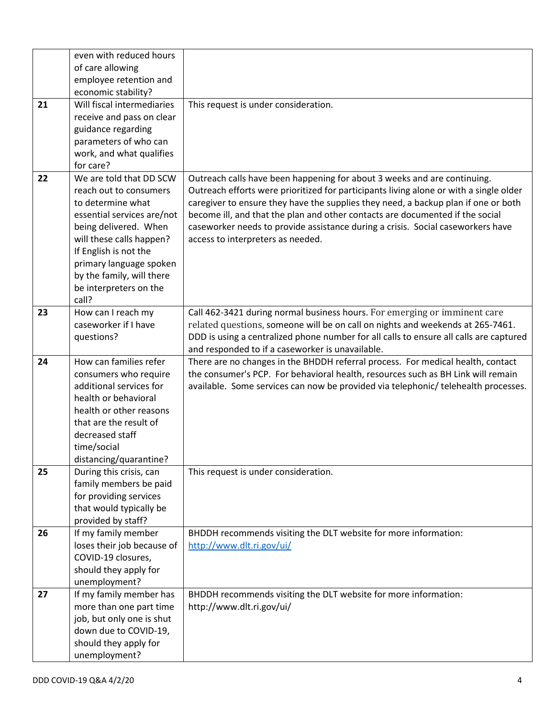|    | even with reduced hours    |                                                                                        |
|----|----------------------------|----------------------------------------------------------------------------------------|
|    | of care allowing           |                                                                                        |
|    | employee retention and     |                                                                                        |
|    | economic stability?        |                                                                                        |
| 21 | Will fiscal intermediaries | This request is under consideration.                                                   |
|    | receive and pass on clear  |                                                                                        |
|    | guidance regarding         |                                                                                        |
|    | parameters of who can      |                                                                                        |
|    | work, and what qualifies   |                                                                                        |
|    | for care?                  |                                                                                        |
| 22 | We are told that DD SCW    | Outreach calls have been happening for about 3 weeks and are continuing.               |
|    | reach out to consumers     | Outreach efforts were prioritized for participants living alone or with a single older |
|    | to determine what          | caregiver to ensure they have the supplies they need, a backup plan if one or both     |
|    | essential services are/not | become ill, and that the plan and other contacts are documented if the social          |
|    | being delivered. When      | caseworker needs to provide assistance during a crisis. Social caseworkers have        |
|    | will these calls happen?   | access to interpreters as needed.                                                      |
|    | If English is not the      |                                                                                        |
|    | primary language spoken    |                                                                                        |
|    | by the family, will there  |                                                                                        |
|    | be interpreters on the     |                                                                                        |
|    | call?                      |                                                                                        |
| 23 | How can I reach my         | Call 462-3421 during normal business hours. For emerging or imminent care              |
|    | caseworker if I have       | related questions, someone will be on call on nights and weekends at 265-7461.         |
|    | questions?                 | DDD is using a centralized phone number for all calls to ensure all calls are captured |
|    |                            | and responded to if a caseworker is unavailable.                                       |
|    |                            |                                                                                        |
| 24 | How can families refer     | There are no changes in the BHDDH referral process. For medical health, contact        |
|    | consumers who require      | the consumer's PCP. For behavioral health, resources such as BH Link will remain       |
|    | additional services for    | available. Some services can now be provided via telephonic/ telehealth processes.     |
|    | health or behavioral       |                                                                                        |
|    | health or other reasons    |                                                                                        |
|    | that are the result of     |                                                                                        |
|    | decreased staff            |                                                                                        |
|    | time/social                |                                                                                        |
|    | distancing/quarantine?     |                                                                                        |
| 25 | During this crisis, can    | This request is under consideration.                                                   |
|    | family members be paid     |                                                                                        |
|    | for providing services     |                                                                                        |
|    | that would typically be    |                                                                                        |
|    | provided by staff?         |                                                                                        |
| 26 | If my family member        | BHDDH recommends visiting the DLT website for more information:                        |
|    | loses their job because of | http://www.dlt.ri.gov/ui/                                                              |
|    | COVID-19 closures,         |                                                                                        |
|    | should they apply for      |                                                                                        |
|    | unemployment?              |                                                                                        |
| 27 | If my family member has    | BHDDH recommends visiting the DLT website for more information:                        |
|    | more than one part time    | http://www.dlt.ri.gov/ui/                                                              |
|    | job, but only one is shut  |                                                                                        |
|    | down due to COVID-19,      |                                                                                        |
|    | should they apply for      |                                                                                        |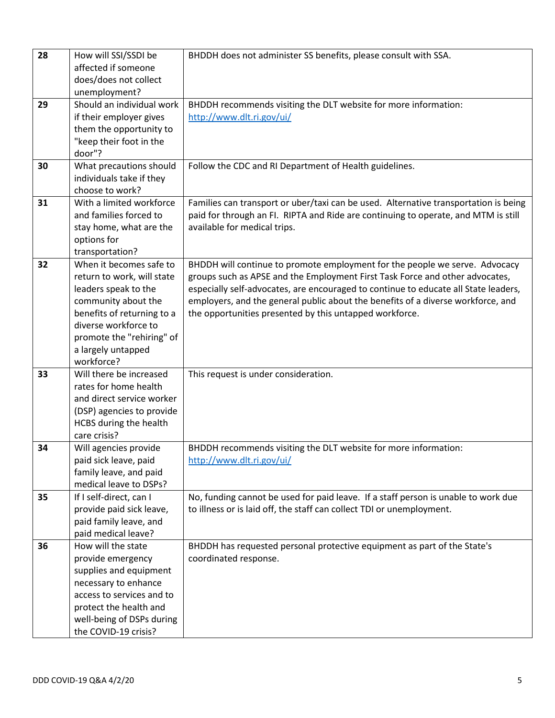| 28 | How will SSI/SSDI be                               | BHDDH does not administer SS benefits, please consult with SSA.                      |
|----|----------------------------------------------------|--------------------------------------------------------------------------------------|
|    | affected if someone                                |                                                                                      |
|    | does/does not collect                              |                                                                                      |
|    | unemployment?                                      |                                                                                      |
| 29 | Should an individual work                          | BHDDH recommends visiting the DLT website for more information:                      |
|    | if their employer gives                            | http://www.dlt.ri.gov/ui/                                                            |
|    | them the opportunity to                            |                                                                                      |
|    | "keep their foot in the                            |                                                                                      |
|    | door"?                                             |                                                                                      |
| 30 | What precautions should                            | Follow the CDC and RI Department of Health guidelines.                               |
|    | individuals take if they                           |                                                                                      |
|    | choose to work?                                    |                                                                                      |
| 31 | With a limited workforce                           | Families can transport or uber/taxi can be used. Alternative transportation is being |
|    | and families forced to                             | paid for through an FI. RIPTA and Ride are continuing to operate, and MTM is still   |
|    | stay home, what are the                            | available for medical trips.                                                         |
|    | options for                                        |                                                                                      |
|    | transportation?                                    |                                                                                      |
| 32 | When it becomes safe to                            | BHDDH will continue to promote employment for the people we serve. Advocacy          |
|    | return to work, will state                         | groups such as APSE and the Employment First Task Force and other advocates,         |
|    | leaders speak to the                               | especially self-advocates, are encouraged to continue to educate all State leaders,  |
|    | community about the                                | employers, and the general public about the benefits of a diverse workforce, and     |
|    | benefits of returning to a                         | the opportunities presented by this untapped workforce.                              |
|    | diverse workforce to                               |                                                                                      |
|    | promote the "rehiring" of                          |                                                                                      |
|    | a largely untapped                                 |                                                                                      |
|    | workforce?                                         |                                                                                      |
| 33 | Will there be increased                            | This request is under consideration.                                                 |
|    | rates for home health<br>and direct service worker |                                                                                      |
|    | (DSP) agencies to provide                          |                                                                                      |
|    | HCBS during the health                             |                                                                                      |
|    | care crisis?                                       |                                                                                      |
| 34 | Will agencies provide                              | BHDDH recommends visiting the DLT website for more information:                      |
|    | paid sick leave, paid                              | http://www.dlt.ri.gov/ui/                                                            |
|    | family leave, and paid                             |                                                                                      |
|    | medical leave to DSPs?                             |                                                                                      |
| 35 | If I self-direct, can I                            | No, funding cannot be used for paid leave. If a staff person is unable to work due   |
|    | provide paid sick leave,                           | to illness or is laid off, the staff can collect TDI or unemployment.                |
|    | paid family leave, and                             |                                                                                      |
|    | paid medical leave?                                |                                                                                      |
| 36 | How will the state                                 | BHDDH has requested personal protective equipment as part of the State's             |
|    | provide emergency                                  | coordinated response.                                                                |
|    | supplies and equipment                             |                                                                                      |
|    | necessary to enhance                               |                                                                                      |
|    | access to services and to                          |                                                                                      |
|    | protect the health and                             |                                                                                      |
|    | well-being of DSPs during                          |                                                                                      |
|    | the COVID-19 crisis?                               |                                                                                      |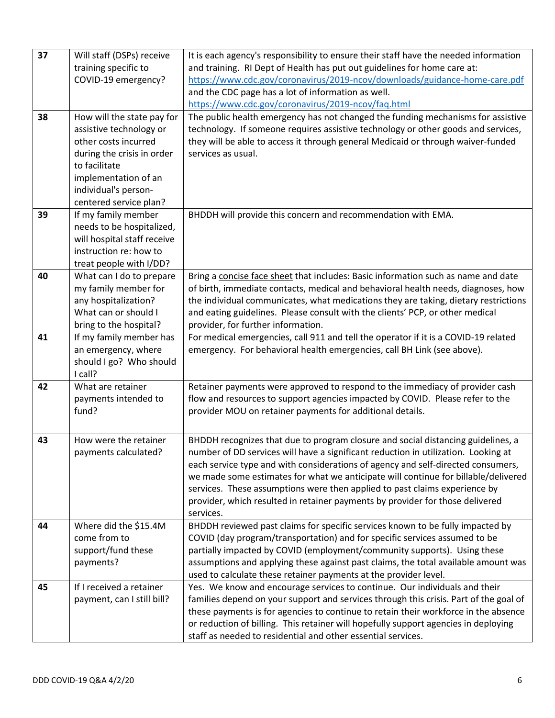| 37 | Will staff (DSPs) receive                      | It is each agency's responsibility to ensure their staff have the needed information                                                                   |
|----|------------------------------------------------|--------------------------------------------------------------------------------------------------------------------------------------------------------|
|    | training specific to                           | and training. RI Dept of Health has put out guidelines for home care at:                                                                               |
|    | COVID-19 emergency?                            | https://www.cdc.gov/coronavirus/2019-ncov/downloads/guidance-home-care.pdf                                                                             |
|    |                                                | and the CDC page has a lot of information as well.                                                                                                     |
|    |                                                | https://www.cdc.gov/coronavirus/2019-ncov/faq.html                                                                                                     |
| 38 | How will the state pay for                     | The public health emergency has not changed the funding mechanisms for assistive                                                                       |
|    | assistive technology or                        | technology. If someone requires assistive technology or other goods and services,                                                                      |
|    | other costs incurred                           | they will be able to access it through general Medicaid or through waiver-funded                                                                       |
|    | during the crisis in order<br>to facilitate    | services as usual.                                                                                                                                     |
|    | implementation of an                           |                                                                                                                                                        |
|    | individual's person-                           |                                                                                                                                                        |
|    | centered service plan?                         |                                                                                                                                                        |
| 39 | If my family member                            | BHDDH will provide this concern and recommendation with EMA.                                                                                           |
|    | needs to be hospitalized,                      |                                                                                                                                                        |
|    | will hospital staff receive                    |                                                                                                                                                        |
|    | instruction re: how to                         |                                                                                                                                                        |
|    | treat people with I/DD?                        |                                                                                                                                                        |
| 40 | What can I do to prepare                       | Bring a concise face sheet that includes: Basic information such as name and date                                                                      |
|    | my family member for                           | of birth, immediate contacts, medical and behavioral health needs, diagnoses, how                                                                      |
|    | any hospitalization?                           | the individual communicates, what medications they are taking, dietary restrictions                                                                    |
|    | What can or should I                           | and eating guidelines. Please consult with the clients' PCP, or other medical                                                                          |
|    | bring to the hospital?                         | provider, for further information.                                                                                                                     |
| 41 | If my family member has                        | For medical emergencies, call 911 and tell the operator if it is a COVID-19 related                                                                    |
|    | an emergency, where<br>should I go? Who should | emergency. For behavioral health emergencies, call BH Link (see above).                                                                                |
|    | I call?                                        |                                                                                                                                                        |
| 42 | What are retainer                              | Retainer payments were approved to respond to the immediacy of provider cash                                                                           |
|    | payments intended to                           | flow and resources to support agencies impacted by COVID. Please refer to the                                                                          |
|    | fund?                                          | provider MOU on retainer payments for additional details.                                                                                              |
|    |                                                |                                                                                                                                                        |
| 43 | How were the retainer                          | BHDDH recognizes that due to program closure and social distancing guidelines, a                                                                       |
|    | payments calculated?                           | number of DD services will have a significant reduction in utilization. Looking at                                                                     |
|    |                                                | each service type and with considerations of agency and self-directed consumers,                                                                       |
|    |                                                | we made some estimates for what we anticipate will continue for billable/delivered                                                                     |
|    |                                                | services. These assumptions were then applied to past claims experience by                                                                             |
|    |                                                | provider, which resulted in retainer payments by provider for those delivered                                                                          |
|    |                                                | services.                                                                                                                                              |
| 44 | Where did the \$15.4M                          | BHDDH reviewed past claims for specific services known to be fully impacted by                                                                         |
|    | come from to<br>support/fund these             | COVID (day program/transportation) and for specific services assumed to be<br>partially impacted by COVID (employment/community supports). Using these |
|    | payments?                                      | assumptions and applying these against past claims, the total available amount was                                                                     |
|    |                                                | used to calculate these retainer payments at the provider level.                                                                                       |
| 45 | If I received a retainer                       | Yes. We know and encourage services to continue. Our individuals and their                                                                             |
|    | payment, can I still bill?                     | families depend on your support and services through this crisis. Part of the goal of                                                                  |
|    |                                                | these payments is for agencies to continue to retain their workforce in the absence                                                                    |
|    |                                                | or reduction of billing. This retainer will hopefully support agencies in deploying                                                                    |
|    |                                                | staff as needed to residential and other essential services.                                                                                           |